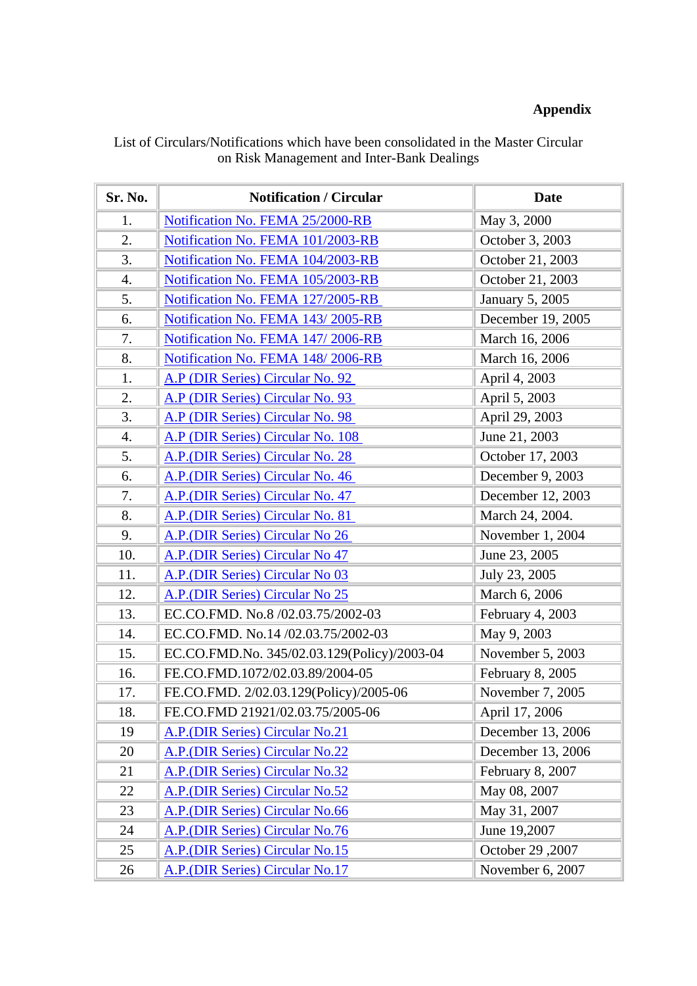## **Appendix**

## List of Circulars/Notifications which have been consolidated in the Master Circular on Risk Management and Inter-Bank Dealings

| Sr. No. | <b>Notification / Circular</b>              | <b>Date</b>            |
|---------|---------------------------------------------|------------------------|
| 1.      | Notification No. FEMA 25/2000-RB            | May 3, 2000            |
| 2.      | Notification No. FEMA 101/2003-RB           | October 3, 2003        |
| 3.      | Notification No. FEMA 104/2003-RB           | October 21, 2003       |
| 4.      | Notification No. FEMA 105/2003-RB           | October 21, 2003       |
| 5.      | Notification No. FEMA 127/2005-RB           | <b>January 5, 2005</b> |
| 6.      | Notification No. FEMA 143/2005-RB           | December 19, 2005      |
| 7.      | Notification No. FEMA 147/2006-RB           | March 16, 2006         |
| 8.      | Notification No. FEMA 148/2006-RB           | March 16, 2006         |
| 1.      | A.P (DIR Series) Circular No. 92            | April 4, 2003          |
| 2.      | A.P (DIR Series) Circular No. 93            | April 5, 2003          |
| 3.      | A.P (DIR Series) Circular No. 98            | April 29, 2003         |
| 4.      | A.P (DIR Series) Circular No. 108           | June 21, 2003          |
| 5.      | A.P. (DIR Series) Circular No. 28           | October 17, 2003       |
| 6.      | A.P.(DIR Series) Circular No. 46            | December 9, 2003       |
| 7.      | A.P. (DIR Series) Circular No. 47           | December 12, 2003      |
| 8.      | A.P.(DIR Series) Circular No. 81            | March 24, 2004.        |
| 9.      | A.P.(DIR Series) Circular No 26             | November 1, 2004       |
| 10.     | A.P. (DIR Series) Circular No 47            | June 23, 2005          |
| 11.     | A.P. (DIR Series) Circular No 03            | July 23, 2005          |
| 12.     | A.P.(DIR Series) Circular No 25             | March 6, 2006          |
| 13.     | EC.CO.FMD. No.8 /02.03.75/2002-03           | February 4, 2003       |
| 14.     | EC.CO.FMD. No.14 /02.03.75/2002-03          | May 9, 2003            |
| 15.     | EC.CO.FMD.No. 345/02.03.129(Policy)/2003-04 | November 5, 2003       |
| 16.     | FE.CO.FMD.1072/02.03.89/2004-05             | February 8, 2005       |
| 17.     | FE.CO.FMD. 2/02.03.129(Policy)/2005-06      | November 7, 2005       |
| 18.     | FE.CO.FMD 21921/02.03.75/2005-06            | April 17, 2006         |
| 19      | A.P.(DIR Series) Circular No.21             | December 13, 2006      |
| 20      | A.P.(DIR Series) Circular No.22             | December 13, 2006      |
| 21      | A.P. (DIR Series) Circular No.32            | February 8, 2007       |
| 22      | A.P.(DIR Series) Circular No.52             | May 08, 2007           |
| 23      | A.P.(DIR Series) Circular No.66             | May 31, 2007           |
| 24      | A.P.(DIR Series) Circular No.76             | June 19,2007           |
| 25      | A.P.(DIR Series) Circular No.15             | October 29,2007        |
| 26      | A.P. (DIR Series) Circular No.17            | November 6, 2007       |